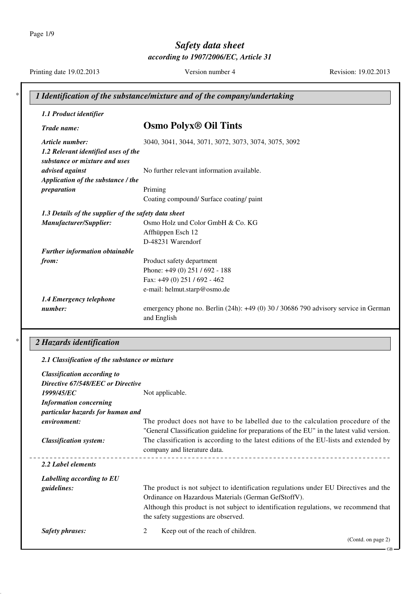Page 1/9

# *Safety data sheet*

*according to 1907/2006/EC, Article 31*

Printing date 19.02.2013 Version number 4 Revision: 19.02.2013

| 1.1 Product identifier                                               |                                                                                                        |
|----------------------------------------------------------------------|--------------------------------------------------------------------------------------------------------|
| Trade name:                                                          | <b>Osmo Polyx<sup>®</sup> Oil Tints</b>                                                                |
| Article number:                                                      | 3040, 3041, 3044, 3071, 3072, 3073, 3074, 3075, 3092                                                   |
| 1.2 Relevant identified uses of the<br>substance or mixture and uses |                                                                                                        |
| advised against                                                      | No further relevant information available.                                                             |
| Application of the substance / the                                   |                                                                                                        |
| preparation                                                          | Priming                                                                                                |
|                                                                      | Coating compound/ Surface coating/ paint                                                               |
| 1.3 Details of the supplier of the safety data sheet                 |                                                                                                        |
| Manufacturer/Supplier:                                               | Osmo Holz und Color GmbH & Co. KG                                                                      |
|                                                                      | Affhüppen Esch 12                                                                                      |
|                                                                      | D-48231 Warendorf                                                                                      |
| <b>Further information obtainable</b>                                |                                                                                                        |
| from:                                                                | Product safety department                                                                              |
|                                                                      | Phone: +49 (0) 251 / 692 - 188                                                                         |
|                                                                      | Fax: +49 (0) 251 / 692 - 462                                                                           |
|                                                                      | e-mail: helmut.starp@osmo.de                                                                           |
| 1.4 Emergency telephone                                              |                                                                                                        |
| number:                                                              | emergency phone no. Berlin $(24h)$ : $+49(0)$ 30 / 30686 790 advisory service in German<br>and English |

### \* *2 Hazards identification*

| 2.1 Classification of the substance or mixture |                                                                                                                                                                                |
|------------------------------------------------|--------------------------------------------------------------------------------------------------------------------------------------------------------------------------------|
| <b>Classification according to</b>             |                                                                                                                                                                                |
| Directive 67/548/EEC or Directive              |                                                                                                                                                                                |
| 1999/45/EC                                     | Not applicable.                                                                                                                                                                |
| <b>Information concerning</b>                  |                                                                                                                                                                                |
| particular hazards for human and               |                                                                                                                                                                                |
| environment:                                   | The product does not have to be labelled due to the calculation procedure of the<br>"General Classification guideline for preparations of the EU" in the latest valid version. |
| <b>Classification system:</b>                  | The classification is according to the latest editions of the EU-lists and extended by<br>company and literature data.                                                         |
| 2.2 Label elements                             |                                                                                                                                                                                |
| Labelling according to EU                      |                                                                                                                                                                                |
| <i>guidelines:</i>                             | The product is not subject to identification regulations under EU Directives and the                                                                                           |
|                                                | Ordinance on Hazardous Materials (German GefStoffV).                                                                                                                           |
|                                                | Although this product is not subject to identification regulations, we recommend that                                                                                          |
|                                                | the safety suggestions are observed.                                                                                                                                           |
| <b>Safety phrases:</b>                         | Keep out of the reach of children.<br>2                                                                                                                                        |
|                                                | (Contd. on page 2)                                                                                                                                                             |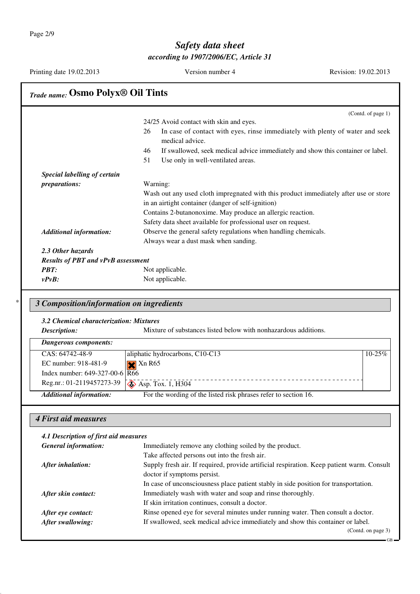| Printing date 19.02.2013                  | Version number 4                                                                                       | Revision: 19.02.2013 |
|-------------------------------------------|--------------------------------------------------------------------------------------------------------|----------------------|
| <b>Trade name: Osmo Polyx® Oil Tints</b>  |                                                                                                        |                      |
|                                           |                                                                                                        | (Contd. of page 1)   |
|                                           | 24/25 Avoid contact with skin and eyes.                                                                |                      |
|                                           | 26<br>In case of contact with eyes, rinse immediately with plenty of water and seek<br>medical advice. |                      |
|                                           | If swallowed, seek medical advice immediately and show this container or label.<br>46                  |                      |
|                                           | 51<br>Use only in well-ventilated areas.                                                               |                      |
| Special labelling of certain              |                                                                                                        |                      |
| preparations:                             | Warning:                                                                                               |                      |
|                                           | Wash out any used cloth impregnated with this product immediately after use or store                   |                      |
|                                           | in an airtight container (danger of self-ignition)                                                     |                      |
|                                           | Contains 2-butanonoxime. May produce an allergic reaction.                                             |                      |
|                                           | Safety data sheet available for professional user on request.                                          |                      |
| <b>Additional information:</b>            | Observe the general safety regulations when handling chemicals.                                        |                      |
|                                           | Always wear a dust mask when sanding.                                                                  |                      |
| 2.3 Other hazards                         |                                                                                                        |                      |
| <b>Results of PBT and vPvB assessment</b> |                                                                                                        |                      |
| <b>PBT:</b>                               | Not applicable.                                                                                        |                      |
| $v P v B$ :                               | Not applicable.                                                                                        |                      |
|                                           |                                                                                                        |                      |

### \* *3 Composition/information on ingredients*

#### *3.2 Chemical characterization: Mixtures*

**Description:** Mixture of substances listed below with nonhazardous additions.

| Dangerous components:                                  |                                                                 |             |
|--------------------------------------------------------|-----------------------------------------------------------------|-------------|
| CAS: 64742-48-9                                        | aliphatic hydrocarbons, C10-C13                                 | $10 - 25\%$ |
| EC number: 918-481-9                                   | $\mathbf{\times}$ Xn R65                                        |             |
| Index number: $649-327-00-6$ $\overline{R66}$          |                                                                 |             |
| Reg.nr.: 01-2119457273-39 $\sqrt{\}$ Asp. Tox. 1, H304 |                                                                 |             |
| <b>Additional information:</b>                         | For the wording of the listed risk phrases refer to section 16. |             |

#### *4 First aid measures*

| 4.1 Description of first aid measures |                                                                                           |  |
|---------------------------------------|-------------------------------------------------------------------------------------------|--|
| <b>General information:</b>           | Immediately remove any clothing soiled by the product.                                    |  |
|                                       | Take affected persons out into the fresh air.                                             |  |
| After inhalation:                     | Supply fresh air. If required, provide artificial respiration. Keep patient warm. Consult |  |
|                                       | doctor if symptoms persist.                                                               |  |
|                                       | In case of unconsciousness place patient stably in side position for transportation.      |  |
| After skin contact:                   | Immediately wash with water and soap and rinse thoroughly.                                |  |
|                                       | If skin irritation continues, consult a doctor.                                           |  |
| After eye contact:                    | Rinse opened eye for several minutes under running water. Then consult a doctor.          |  |
| After swallowing:                     | If swallowed, seek medical advice immediately and show this container or label.           |  |
|                                       | (Contd. on page 3)                                                                        |  |

GB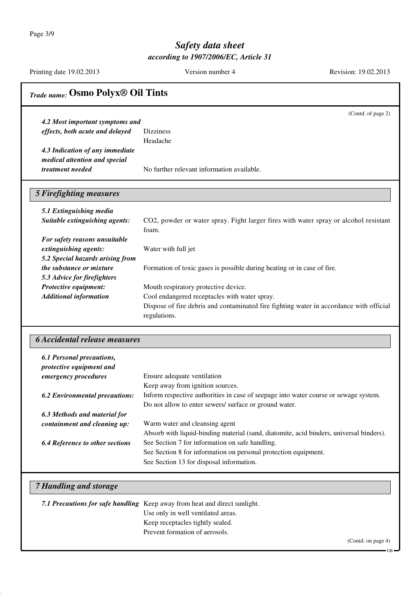Page 3/9

#### *Safety data sheet according to 1907/2006/EC, Article 31*

Printing date 19.02.2013 Version number 4 Revision: 19.02.2013

### *Trade name:* **Osmo Polyx® Oil Tints** (Contd. of page 2) *4.2 Most important symptoms and effects, both acute and delayed* Dizziness Headache *4.3 Indication of any immediate medical attention and special treatment needed* No further relevant information available. *5 Firefighting measures 5.1 Extinguishing media Suitable extinguishing agents:* CO2, powder or water spray. Fight larger fires with water spray or alcohol resistant foam. *For safety reasons unsuitable extinguishing agents:* Water with full jet *5.2 Special hazards arising from the substance or mixture* Formation of toxic gases is possible during heating or in case of fire. *5.3 Advice for firefighters* **Protective equipment:** Mouth respiratory protective device. *Additional information* Cool endangered receptacles with water spray. Dispose of fire debris and contaminated fire fighting water in accordance with official regulations. *6 Accidental release measures 6.1 Personal precautions, protective equipment and emergency procedures* Ensure adequate ventilation Keep away from ignition sources. *6.2 Environmental precautions:* Inform respective authorities in case of seepage into water course or sewage system. Do not allow to enter sewers/ surface or ground water. *6.3 Methods and material for containment and cleaning up:* Warm water and cleansing agent Absorb with liquid-binding material (sand, diatomite, acid binders, universal binders). *6.4 Reference to other sections* See Section 7 for information on safe handling. See Section 8 for information on personal protection equipment. See Section 13 for disposal information. *7 Handling and storage 7.1 Precautions for safe handling* Keep away from heat and direct sunlight. Use only in well ventilated areas. Keep receptacles tightly sealed. Prevent formation of aerosols.

GB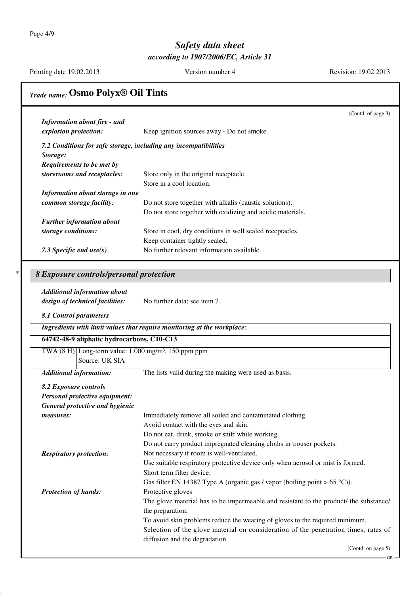Page 4/9

### *Safety data sheet according to 1907/2006/EC, Article 31*

Printing date 19.02.2013 Version number 4 Revision: 19.02.2013

## *Trade name:* **Osmo Polyx® Oil Tints**

| <b>Information about fire - and</b>                                        | (Contd. of page 3)                                                                                        |
|----------------------------------------------------------------------------|-----------------------------------------------------------------------------------------------------------|
| explosion protection:                                                      | Keep ignition sources away - Do not smoke.                                                                |
| 7.2 Conditions for safe storage, including any incompatibilities           |                                                                                                           |
| Storage:                                                                   |                                                                                                           |
| Requirements to be met by                                                  |                                                                                                           |
| storerooms and receptacles:                                                | Store only in the original receptacle.                                                                    |
|                                                                            | Store in a cool location.                                                                                 |
| Information about storage in one                                           |                                                                                                           |
| common storage facility:                                                   | Do not store together with alkalis (caustic solutions).                                                   |
|                                                                            | Do not store together with oxidizing and acidic materials.                                                |
| <b>Further information about</b>                                           |                                                                                                           |
| storage conditions:                                                        | Store in cool, dry conditions in well sealed receptacles.                                                 |
|                                                                            | Keep container tightly sealed.                                                                            |
| 7.3 Specific end $use(s)$                                                  | No further relevant information available.                                                                |
|                                                                            |                                                                                                           |
| 8 Exposure controls/personal protection                                    |                                                                                                           |
| <b>Additional information about</b>                                        |                                                                                                           |
| design of technical facilities:                                            | No further data; see item 7.                                                                              |
|                                                                            |                                                                                                           |
| 8.1 Control parameters                                                     |                                                                                                           |
|                                                                            | Ingredients with limit values that require monitoring at the workplace:                                   |
| 64742-48-9 aliphatic hydrocarbons, C10-C13                                 |                                                                                                           |
| TWA $(8 \text{ H})$ Long-term value: 1.000 mg/m <sup>3</sup> , 150 ppm ppm |                                                                                                           |
| Source: UK SIA                                                             |                                                                                                           |
| <b>Additional information:</b>                                             | The lists valid during the making were used as basis.                                                     |
| 8.2 Exposure controls                                                      |                                                                                                           |
| Personal protective equipment:                                             |                                                                                                           |
| General protective and hygienic                                            |                                                                                                           |
| measures:                                                                  | Immediately remove all soiled and contaminated clothing                                                   |
|                                                                            | Avoid contact with the eyes and skin.                                                                     |
|                                                                            | Do not eat, drink, smoke or sniff while working.                                                          |
|                                                                            | Do not carry product impregnated cleaning cloths in trouser pockets.                                      |
|                                                                            | Not necessary if room is well-ventilated.                                                                 |
| <b>Respiratory protection:</b>                                             |                                                                                                           |
|                                                                            | Use suitable respiratory protective device only when aerosol or mist is formed.                           |
|                                                                            | Short term filter device:                                                                                 |
|                                                                            | Gas filter EN 14387 Type A (organic gas / vapor (boiling point > $65^{\circ}$ C)).                        |
| <b>Protection of hands:</b>                                                | Protective gloves                                                                                         |
|                                                                            | The glove material has to be impermeable and resistant to the product/ the substance/<br>the preparation. |
|                                                                            | To avoid skin problems reduce the wearing of gloves to the required minimum.                              |
|                                                                            | Selection of the glove material on consideration of the penetration times, rates of                       |
|                                                                            | diffusion and the degradation                                                                             |
|                                                                            | $(Contd)$ on page 5)                                                                                      |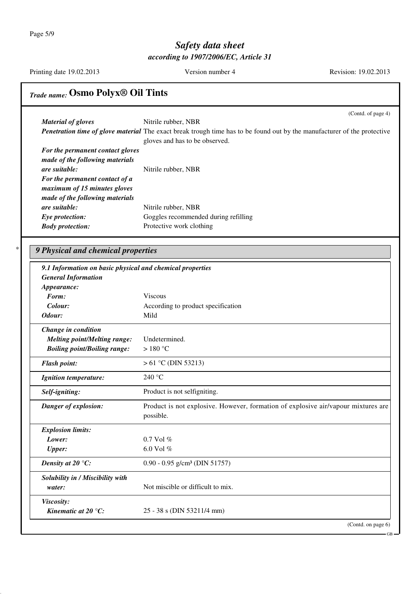Page 5/9

### *Safety data sheet according to 1907/2006/EC, Article 31*

Printing date 19.02.2013 Version number 4 Revision: 19.02.2013

# *Trade name:* **Osmo Polyx® Oil Tints**

|                                                           | (Contd. of page 4)                                                                                                                                                |
|-----------------------------------------------------------|-------------------------------------------------------------------------------------------------------------------------------------------------------------------|
| <b>Material of gloves</b>                                 | Nitrile rubber, NBR                                                                                                                                               |
|                                                           | <b>Penetration time of glove material</b> The exact break trough time has to be found out by the manufacturer of the protective<br>gloves and has to be observed. |
| For the permanent contact gloves                          |                                                                                                                                                                   |
| made of the following materials                           |                                                                                                                                                                   |
| are suitable:                                             | Nitrile rubber, NBR                                                                                                                                               |
| For the permanent contact of a                            |                                                                                                                                                                   |
| maximum of 15 minutes gloves                              |                                                                                                                                                                   |
| made of the following materials                           |                                                                                                                                                                   |
| are suitable:                                             | Nitrile rubber, NBR                                                                                                                                               |
| Eye protection:                                           | Goggles recommended during refilling                                                                                                                              |
| <b>Body protection:</b>                                   | Protective work clothing                                                                                                                                          |
| 9 Physical and chemical properties                        |                                                                                                                                                                   |
|                                                           |                                                                                                                                                                   |
| 9.1 Information on basic physical and chemical properties |                                                                                                                                                                   |
| <b>General Information</b>                                |                                                                                                                                                                   |
| Appearance:<br>Form:                                      | <b>Viscous</b>                                                                                                                                                    |
| Colour:                                                   |                                                                                                                                                                   |
| Odour:                                                    | According to product specification<br>Mild                                                                                                                        |
|                                                           |                                                                                                                                                                   |
| Change in condition                                       |                                                                                                                                                                   |
| <b>Melting point/Melting range:</b>                       | Undetermined.                                                                                                                                                     |
| <b>Boiling point/Boiling range:</b>                       | >180 °C                                                                                                                                                           |
| <b>Flash point:</b>                                       | $> 61$ °C (DIN 53213)                                                                                                                                             |
| <b>Ignition temperature:</b>                              | 240 $\degree$ C                                                                                                                                                   |
| Self-igniting:                                            | Product is not selfigniting.                                                                                                                                      |
| Danger of explosion:                                      | Product is not explosive. However, formation of explosive air/vapour mixtures are<br>possible.                                                                    |
|                                                           |                                                                                                                                                                   |
|                                                           |                                                                                                                                                                   |
| <b>Explosion limits:</b><br>Lower:                        | 0.7 Vol %                                                                                                                                                         |
| <b>Upper:</b>                                             | 6.0 Vol %                                                                                                                                                         |
| Density at 20 $\mathrm{^{\circ}C:}$                       | $0.90 - 0.95$ g/cm <sup>3</sup> (DIN 51757)                                                                                                                       |
| Solubility in / Miscibility with                          |                                                                                                                                                                   |
| water:                                                    | Not miscible or difficult to mix.                                                                                                                                 |
| Viscosity:<br>Kinematic at $20^{\circ}$ C:                | 25 - 38 s (DIN 53211/4 mm)                                                                                                                                        |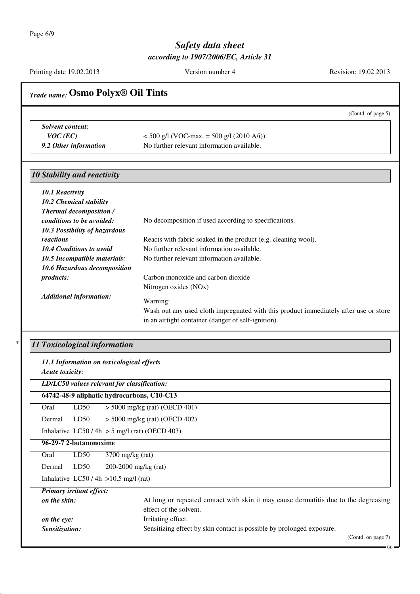Printing date 19.02.2013 Version number 4 Revision: 19.02.2013

|                                          |                                             | <b>Trade name: Osmo Polyx® Oil Tints</b>                                                                                                                     |
|------------------------------------------|---------------------------------------------|--------------------------------------------------------------------------------------------------------------------------------------------------------------|
|                                          |                                             | (Contd. of page 5)                                                                                                                                           |
| <b>Solvent content:</b>                  |                                             |                                                                                                                                                              |
| $VOC$ (EC)                               |                                             | $<$ 500 g/l (VOC-max. = 500 g/l (2010 A/i))                                                                                                                  |
| 9.2 Other information                    |                                             | No further relevant information available.                                                                                                                   |
| <b>10 Stability and reactivity</b>       |                                             |                                                                                                                                                              |
| 10.1 Reactivity                          |                                             |                                                                                                                                                              |
| 10.2 Chemical stability                  |                                             |                                                                                                                                                              |
| <b>Thermal decomposition /</b>           |                                             |                                                                                                                                                              |
| conditions to be avoided:                |                                             | No decomposition if used according to specifications.                                                                                                        |
| reactions                                | 10.3 Possibility of hazardous               | Reacts with fabric soaked in the product (e.g. cleaning wool).                                                                                               |
| 10.4 Conditions to avoid                 |                                             | No further relevant information available.                                                                                                                   |
|                                          | 10.5 Incompatible materials:                | No further relevant information available.                                                                                                                   |
|                                          | 10.6 Hazardous decomposition                |                                                                                                                                                              |
| products:                                |                                             | Carbon monoxide and carbon dioxide                                                                                                                           |
|                                          |                                             | Nitrogen oxides (NOx)                                                                                                                                        |
| <b>Additional information:</b>           |                                             | Warning:                                                                                                                                                     |
|                                          |                                             | Wash out any used cloth impregnated with this product immediately after use or store                                                                         |
|                                          |                                             | in an airtight container (danger of self-ignition)                                                                                                           |
|                                          |                                             |                                                                                                                                                              |
|                                          |                                             |                                                                                                                                                              |
|                                          | 11 Toxicological information                |                                                                                                                                                              |
|                                          | 11.1 Information on toxicological effects   |                                                                                                                                                              |
| Acute toxicity:                          |                                             |                                                                                                                                                              |
|                                          | LD/LC50 values relevant for classification: |                                                                                                                                                              |
|                                          |                                             | 64742-48-9 aliphatic hydrocarbons, C10-C13                                                                                                                   |
| Oral                                     | LD50                                        | $>$ 5000 mg/kg (rat) (OECD 401)                                                                                                                              |
| Dermal                                   | LD50                                        | $>$ 5000 mg/kg (rat) (OECD 402)                                                                                                                              |
|                                          |                                             | Inhalative $ LC50/4h  > 5$ mg/l (rat) (OECD 403)                                                                                                             |
| 96-29-7 2-butanonoxime                   |                                             |                                                                                                                                                              |
| Oral                                     | LD50                                        | 3700 mg/kg (rat)                                                                                                                                             |
| Dermal                                   | LD50                                        |                                                                                                                                                              |
|                                          | Inhalative $ LC50/4h  > 10.5$ mg/l (rat)    | 200-2000 mg/kg (rat)                                                                                                                                         |
|                                          |                                             |                                                                                                                                                              |
| Primary irritant effect:<br>on the skin: |                                             | effect of the solvent.                                                                                                                                       |
| on the eye:                              |                                             | Irritating effect.                                                                                                                                           |
| Sensitization:                           |                                             | At long or repeated contact with skin it may cause dermatitis due to the degreasing<br>Sensitizing effect by skin contact is possible by prolonged exposure. |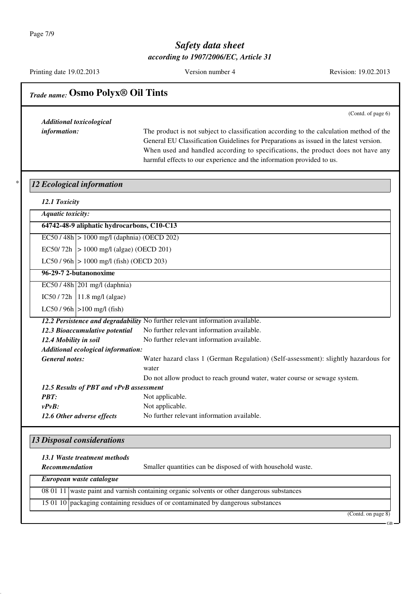Printing date 19.02.2013 Version number 4 Revision: 19.02.2013

| <b>Additional toxicological</b>            | (Contd. of page 6)                                                                                                                                                                                                                                                                                                                             |
|--------------------------------------------|------------------------------------------------------------------------------------------------------------------------------------------------------------------------------------------------------------------------------------------------------------------------------------------------------------------------------------------------|
| information:                               | The product is not subject to classification according to the calculation method of the<br>General EU Classification Guidelines for Preparations as issued in the latest version.<br>When used and handled according to specifications, the product does not have any<br>harmful effects to our experience and the information provided to us. |
| <b>12 Ecological information</b>           |                                                                                                                                                                                                                                                                                                                                                |
| 12.1 Toxicity                              |                                                                                                                                                                                                                                                                                                                                                |
| <b>Aquatic toxicity:</b>                   |                                                                                                                                                                                                                                                                                                                                                |
| 64742-48-9 aliphatic hydrocarbons, C10-C13 |                                                                                                                                                                                                                                                                                                                                                |
| EC50/48h > 1000 mg/l (daphnia) (OECD 202)  |                                                                                                                                                                                                                                                                                                                                                |
| EC50/72h   > 1000 mg/l (algae) (OECD 201)  |                                                                                                                                                                                                                                                                                                                                                |
| $LC50 / 96h$ > 1000 mg/l (fish) (OECD 203) |                                                                                                                                                                                                                                                                                                                                                |
| 96-29-7 2-butanonoxime                     |                                                                                                                                                                                                                                                                                                                                                |
| $EC50/48h$ 201 mg/l (daphnia)              |                                                                                                                                                                                                                                                                                                                                                |
| $IC50 / 72h$   11.8 mg/l (algae)           |                                                                                                                                                                                                                                                                                                                                                |
| $LC50 / 96h$ $>100$ mg/l (fish)            |                                                                                                                                                                                                                                                                                                                                                |
|                                            | 12.2 Persistence and degradability No further relevant information available.                                                                                                                                                                                                                                                                  |
| 12.3 Bioaccumulative potential             | No further relevant information available.                                                                                                                                                                                                                                                                                                     |
| 12.4 Mobility in soil                      | No further relevant information available.                                                                                                                                                                                                                                                                                                     |
| Additional ecological information:         |                                                                                                                                                                                                                                                                                                                                                |
| <b>General notes:</b>                      | Water hazard class 1 (German Regulation) (Self-assessment): slightly hazardous for<br>water                                                                                                                                                                                                                                                    |
|                                            | Do not allow product to reach ground water, water course or sewage system.                                                                                                                                                                                                                                                                     |
| 12.5 Results of PBT and vPvB assessment    |                                                                                                                                                                                                                                                                                                                                                |
| <b>PBT:</b>                                | Not applicable.                                                                                                                                                                                                                                                                                                                                |
| $v P v B$ :<br>12.6 Other adverse effects  | Not applicable.<br>No further relevant information available.                                                                                                                                                                                                                                                                                  |
|                                            |                                                                                                                                                                                                                                                                                                                                                |
| <b>13 Disposal considerations</b>          |                                                                                                                                                                                                                                                                                                                                                |
| 13.1 Waste treatment methods               |                                                                                                                                                                                                                                                                                                                                                |
| Recommendation                             | Smaller quantities can be disposed of with household waste.                                                                                                                                                                                                                                                                                    |

| European waste catalogue |                                                                                                       |  |
|--------------------------|-------------------------------------------------------------------------------------------------------|--|
|                          | $\overline{080111}$ waste paint and varnish containing organic solvents or other dangerous substances |  |
|                          | 15 01 10 packaging containing residues of or contaminated by dangerous substances                     |  |

(Contd. on page 8)

GB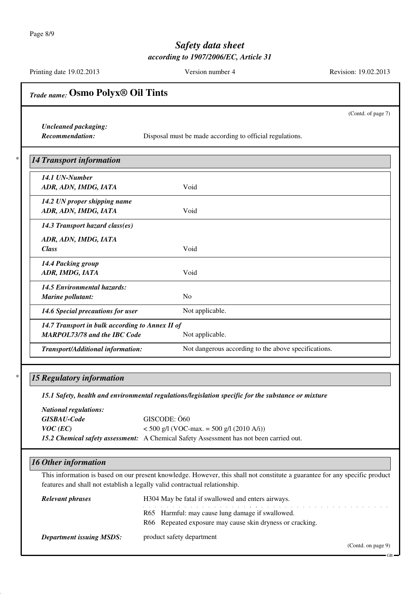Page 8/9

### *Safety data sheet according to 1907/2006/EC, Article 31*

Printing date 19.02.2013 Version number 4 Revision: 19.02.2013

| <b>Trade name: OSMO Polyx® Oil Tints</b>                                               |                                                                                                                                                                                                           |
|----------------------------------------------------------------------------------------|-----------------------------------------------------------------------------------------------------------------------------------------------------------------------------------------------------------|
|                                                                                        | (Contd. of page 7)                                                                                                                                                                                        |
| <b>Uncleaned packaging:</b><br><b>Recommendation:</b>                                  | Disposal must be made according to official regulations.                                                                                                                                                  |
| <b>14 Transport information</b>                                                        |                                                                                                                                                                                                           |
| 14.1 UN-Number<br>ADR, ADN, IMDG, IATA                                                 | Void                                                                                                                                                                                                      |
| 14.2 UN proper shipping name<br>ADR, ADN, IMDG, IATA                                   | Void                                                                                                                                                                                                      |
| 14.3 Transport hazard class(es)                                                        |                                                                                                                                                                                                           |
| ADR, ADN, IMDG, IATA<br><b>Class</b>                                                   | Void                                                                                                                                                                                                      |
| 14.4 Packing group<br>ADR, IMDG, IATA                                                  | Void                                                                                                                                                                                                      |
| 14.5 Environmental hazards:<br>Marine pollutant:                                       | N <sub>o</sub>                                                                                                                                                                                            |
| 14.6 Special precautions for user                                                      | Not applicable.                                                                                                                                                                                           |
| 14.7 Transport in bulk according to Annex II of<br><b>MARPOL73/78 and the IBC Code</b> | Not applicable.                                                                                                                                                                                           |
| Transport/Additional information:                                                      | Not dangerous according to the above specifications.                                                                                                                                                      |
| <b>15 Regulatory information</b>                                                       | 15.1 Safety, health and environmental regulations/legislation specific for the substance or mixture                                                                                                       |
| <b>National regulations:</b><br><b>GISBAU-Code</b><br>$VOC$ (EC)                       | GISCODE: Ö60<br>$<$ 500 g/l (VOC-max. = 500 g/l (2010 A/i))<br>15.2 Chemical safety assessment: A Chemical Safety Assessment has not been carried out.                                                    |
| <b>16 Other information</b>                                                            |                                                                                                                                                                                                           |
|                                                                                        | This information is based on our present knowledge. However, this shall not constitute a guarantee for any specific product<br>features and shall not establish a legally valid contractual relationship. |
| <b>Relevant phrases</b>                                                                | H304 May be fatal if swallowed and enters airways.                                                                                                                                                        |
|                                                                                        | R65 Harmful: may cause lung damage if swallowed.<br>R66 Repeated exposure may cause skin dryness or cracking.                                                                                             |
| <b>Department issuing MSDS:</b>                                                        | product safety department<br>(Contd. on page 9)                                                                                                                                                           |